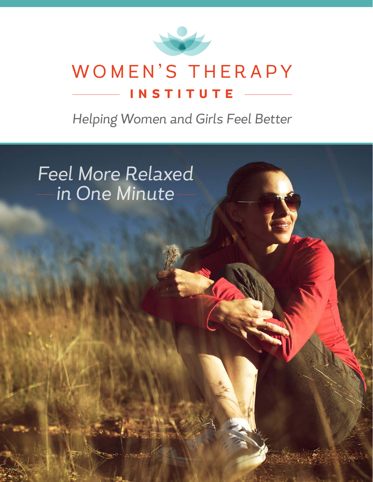

#### WOMEN'S THERAPY **INSTITUTE**

*Helping Women and Girls Feel Better*

*Feel More Relaxed in One Minute*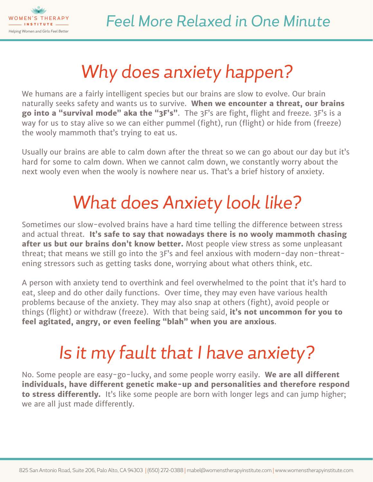

# *Why does anxiety happen?*

We humans are a fairly intelligent species but our brains are slow to evolve. Our brain naturally seeks safety and wants us to survive. **When we encounter a threat, our brains go into a "survival mode" aka the "3F's"**. The 3F's are fight, flight and freeze. 3F's is a way for us to stay alive so we can either pummel (fight), run (flight) or hide from (freeze) the wooly mammoth that's trying to eat us.

Usually our brains are able to calm down after the threat so we can go about our day but it's hard for some to calm down. When we cannot calm down, we constantly worry about the next wooly even when the wooly is nowhere near us. That's a brief history of anxiety.

# *What does Anxiety look like?*

Sometimes our slow-evolved brains have a hard time telling the difference between stress and actual threat. **It's safe to say that nowadays there is no wooly mammoth chasing after us but our brains don't know better.** Most people view stress as some unpleasant threat; that means we still go into the 3F's and feel anxious with modern-day non-threatening stressors such as getting tasks done, worrying about what others think, etc.

A person with anxiety tend to overthink and feel overwhelmed to the point that it's hard to eat, sleep and do other daily functions. Over time, they may even have various health problems because of the anxiety. They may also snap at others (fight), avoid people or things (flight) or withdraw (freeze). With that being said, **it's not uncommon for you to feel agitated, angry, or even feeling "blah" when you are anxious**.

# *Is it my fault that I have anxiety?*

No. Some people are easy-go-lucky, and some people worry easily. **We are all different individuals, have different genetic make-up and personalities and therefore respond to stress differently.** It's like some people are born with longer legs and can jump higher; we are all just made differently.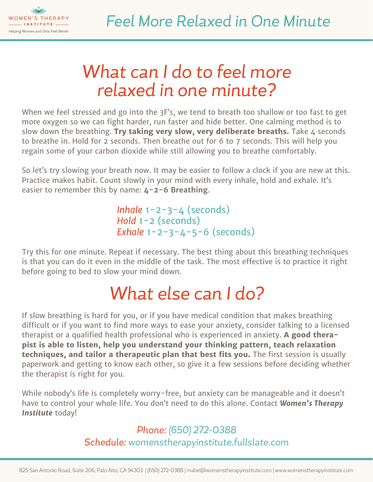

#### *What can I do to feel more relaxed in one minute?*

When we feel stressed and go into the 3F's, we tend to breath too shallow or too fast to get more oxygen so we can fight harder, run faster and hide better. One calming method is to slow down the breathing. Try taking very slow, very deliberate breaths. Take 4 seconds to breathe in. Hold for 2 seconds. Then breathe out for 6 to 7 seconds. This will help you regain some of your carbon dioxide while still allowing you to breathe comfortably.

So let's try slowing your breath now. It may be easier to follow a clock if you are new at this. Practice makes habit. Count slowly in your mind with every inhale, hold and exhale. It's easier to remember this by name: **4-2-6 Breathing**.

> *Inhale* 1-2-3-4 (seconds) *Hold* 1-2 (seconds) *Exhale* 1-2-3-4-5-6 (seconds)

Try this for one minute. Repeat if necessary. The best thing about this breathing techniques is that you can do it even in the middle of the task. The most effective is to practice it right before going to bed to slow your mind down.

### *What else can I do?*

If slow breathing is hard for you, or if you have medical condition that makes breathing difficult or if you want to find more ways to ease your anxiety, consider talking to a licensed therapist or a qualified health professional who is experienced in anxiety. **A good therapist is able to listen, help you understand your thinking pattern, teach relaxation techniques, and tailor a therapeutic plan that best fits you.** The first session is usually paperwork and getting to know each other, so give it a few sessions before deciding whether the therapist is right for you.

While nobody's life is completely worry-free, but anxiety can be manageable and it doesn't have to control your whole life. You don't need to do this alone. Contact *Women's Therapy Institute* today!

#### *Phone: (650) 272-0388 Schedule: [womenstherapyinstitute.fullslate.com](http://womenstherapyinstitute.fullslate.com)*